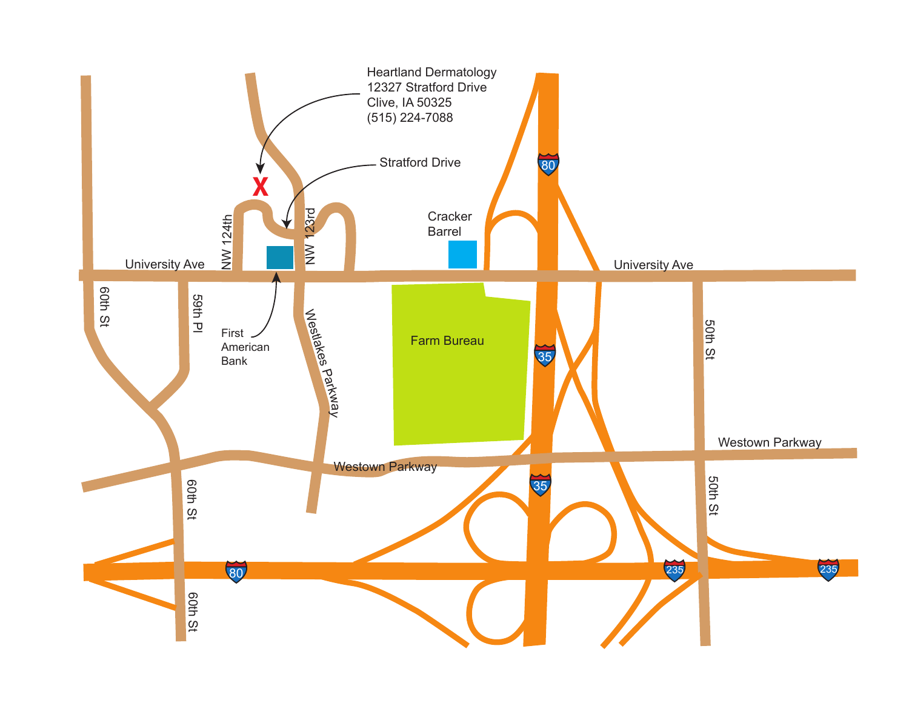